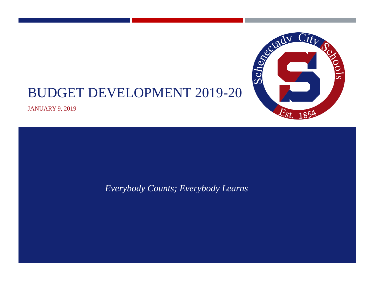

JANUARY 9, 2019

*Everybody Counts; Everybody Learns*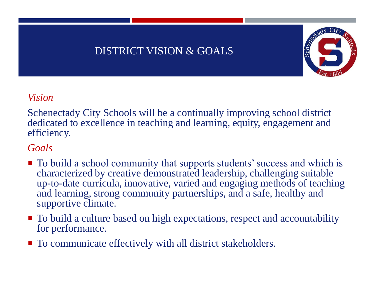#### DISTRICT VISION & GOALS



#### *Vision*

Schenectady City Schools will be a continually improving school district dedicated to excellence in teaching and learning, equity, engagement and efficiency.

#### *Goals*

- To build a school community that supports students' success and which is characterized by creative demonstrated leadership, challenging suitable up-to-date curricula, innovative, varied and engaging methods of teaching and learning, strong community partnerships, and a safe, healthy and supportive climate.
- $\blacksquare$  To build a culture based on high expectations, respect and accountability for performance.
- To communicate effectively with all district stakeholders.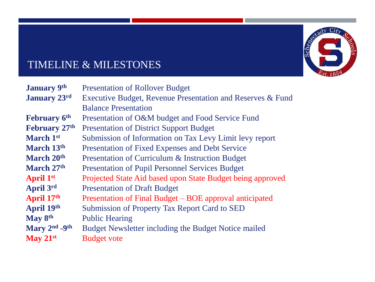

# TIMELINE & MILESTONES

| <b>January 9th</b>   | <b>Presentation of Rollover Budget</b>                     |
|----------------------|------------------------------------------------------------|
| <b>January</b> 23rd  | Executive Budget, Revenue Presentation and Reserves & Fund |
|                      | <b>Balance Presentation</b>                                |
| <b>February 6th</b>  | Presentation of O&M budget and Food Service Fund           |
| <b>February 27th</b> | <b>Presentation of District Support Budget</b>             |
| March 1st            | Submission of Information on Tax Levy Limit levy report    |
| March 13th           | Presentation of Fixed Expenses and Debt Service            |
| March 20th           | Presentation of Curriculum & Instruction Budget            |
| March 27th           | <b>Presentation of Pupil Personnel Services Budget</b>     |
| <b>April 1st</b>     | Projected State Aid based upon State Budget being approved |
| April 3rd            | <b>Presentation of Draft Budget</b>                        |
| April 17th           | Presentation of Final Budget – BOE approval anticipated    |
| April 19th           | Submission of Property Tax Report Card to SED              |
| May 8th              | <b>Public Hearing</b>                                      |
| Mary 2nd -9th        | Budget Newsletter including the Budget Notice mailed       |
| May $21st$           | <b>Budget vote</b>                                         |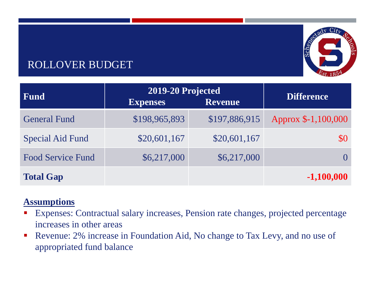# ROLLOVER BUDGET



#### **Assumptions**

- Expenses: Contractual salary increases, Pension rate changes, projected percentage increases in other areas
- **Revenue: 2% increase in Foundation Aid, No change to Tax Levy, and no use of** appropriated fund balance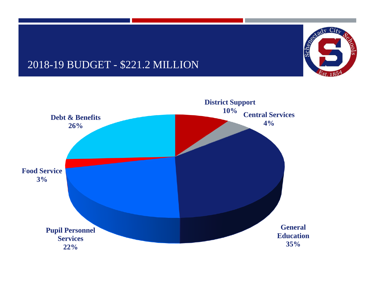### 2018-19 BUDGET - \$221.2 MILLION



City City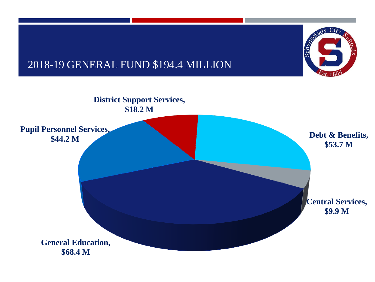

## 2018-19 GENERAL FUND \$194.4 MILLION

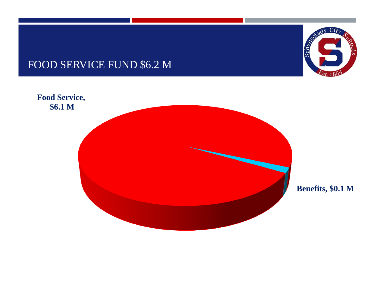## FOOD SERVICE FUND \$6.2 M



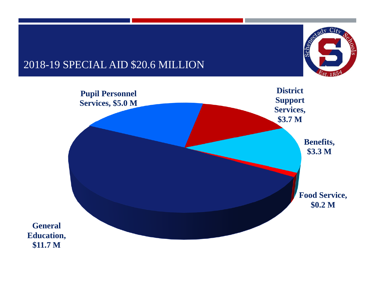## 2018-19 SPECIAL AID \$20.6 MILLION



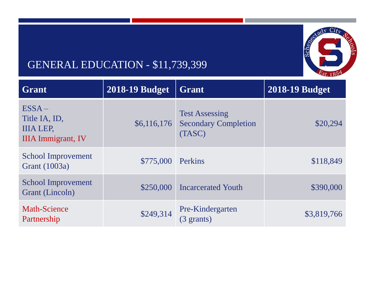

# GENERAL EDUCATION - \$11,739,399

| Grant                                                                      | <b>2018-19 Budget</b> | <b>Grant</b>                                                   | <b>2018-19 Budget</b> |
|----------------------------------------------------------------------------|-----------------------|----------------------------------------------------------------|-----------------------|
| $ESSA -$<br>Title IA, ID,<br><b>IIIA LEP.</b><br><b>IIIA</b> Immigrant, IV | \$6,116,176           | <b>Test Assessing</b><br><b>Secondary Completion</b><br>(TASC) | \$20,294              |
| School Improvement<br><b>Grant</b> (1003a)                                 | \$775,000 Perkins     |                                                                | \$118,849             |
| <b>School Improvement</b><br>Grant (Lincoln)                               | \$250,000             | <b>Incarcerated Youth</b>                                      | \$390,000             |
| <b>Math-Science</b><br>Partnership                                         | \$249,314             | Pre-Kindergarten<br>$(3 \text{ grants})$                       | \$3,819,766           |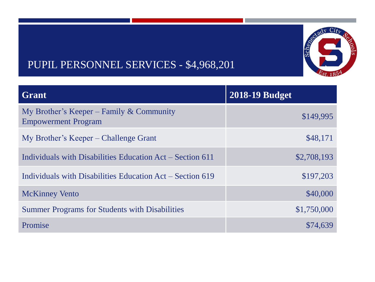

# PUPIL PERSONNEL SERVICES - \$4,968,201

| <b>Grant</b>                                                           | <b>2018-19 Budget</b> |  |
|------------------------------------------------------------------------|-----------------------|--|
| My Brother's Keeper – Family & Community<br><b>Empowerment Program</b> | \$149,995             |  |
| My Brother's Keeper – Challenge Grant                                  | \$48,171              |  |
| Individuals with Disabilities Education Act – Section 611              | \$2,708,193           |  |
| Individuals with Disabilities Education Act – Section 619              | \$197,203             |  |
| <b>McKinney Vento</b>                                                  | \$40,000              |  |
| <b>Summer Programs for Students with Disabilities</b>                  | \$1,750,000           |  |
| Promise                                                                | \$74,639              |  |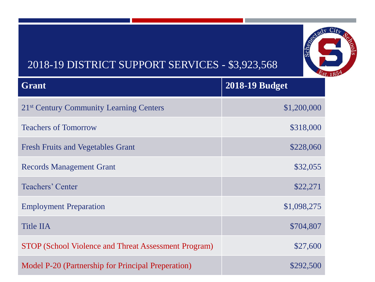# 2018-19 DISTRICT SUPPORT SERVICES - \$3,923,568

| <b>Grant</b>                                         | <b>2018-19 Budget</b> |
|------------------------------------------------------|-----------------------|
| 21 <sup>st</sup> Century Community Learning Centers  | \$1,200,000           |
| <b>Teachers of Tomorrow</b>                          | \$318,000             |
| <b>Fresh Fruits and Vegetables Grant</b>             | \$228,060             |
| <b>Records Management Grant</b>                      | \$32,055              |
| Teachers' Center                                     | \$22,271              |
| <b>Employment Preparation</b>                        | \$1,098,275           |
| <b>Title IIA</b>                                     | \$704,807             |
| STOP (School Violence and Threat Assessment Program) | \$27,600              |
| Model P-20 (Partnership for Principal Preperation)   | \$292,500             |